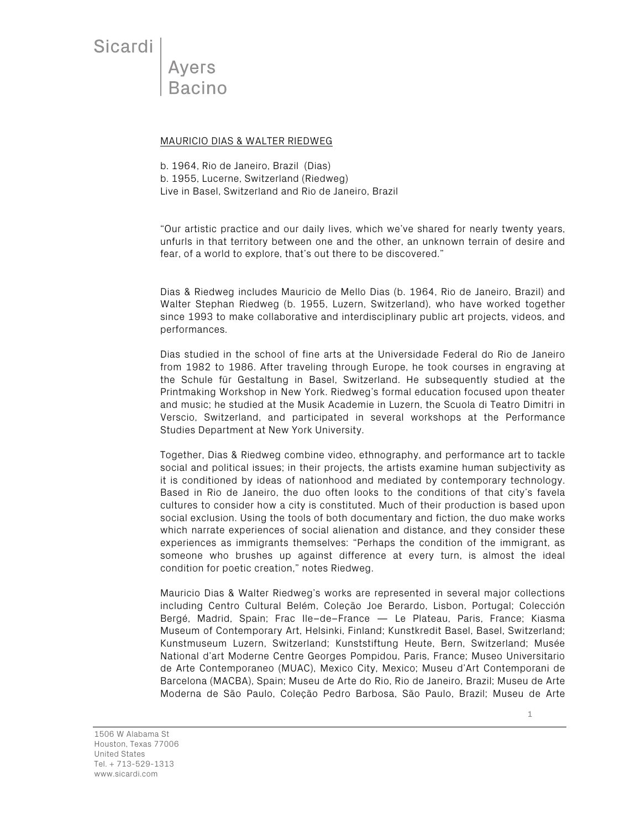Sicardi

Ayers **Bacino** 

## MAURICIO DIAS & WALTER RIEDWEG

b. 1964, Rio de Janeiro, Brazil (Dias) b. 1955, Lucerne, Switzerland (Riedweg) Live in Basel, Switzerland and Rio de Janeiro, Brazil

"Our artistic practice and our daily lives, which we've shared for nearly twenty years, unfurls in that territory between one and the other, an unknown terrain of desire and fear, of a world to explore, that's out there to be discovered."

Dias & Riedweg includes Mauricio de Mello Dias (b. 1964, Rio de Janeiro, Brazil) and Walter Stephan Riedweg (b. 1955, Luzern, Switzerland), who have worked together since 1993 to make collaborative and interdisciplinary public art projects, videos, and performances.

Dias studied in the school of fine arts at the Universidade Federal do Rio de Janeiro from 1982 to 1986. After traveling through Europe, he took courses in engraving at the Schule für Gestaltung in Basel, Switzerland. He subsequently studied at the Printmaking Workshop in New York. Riedweg's formal education focused upon theater and music; he studied at the Musik Academie in Luzern, the Scuola di Teatro Dimitri in Verscio, Switzerland, and participated in several workshops at the Performance Studies Department at New York University.

Together, Dias & Riedweg combine video, ethnography, and performance art to tackle social and political issues; in their projects, the artists examine human subjectivity as it is conditioned by ideas of nationhood and mediated by contemporary technology. Based in Rio de Janeiro, the duo often looks to the conditions of that city's favela cultures to consider how a city is constituted. Much of their production is based upon social exclusion. Using the tools of both documentary and fiction, the duo make works which narrate experiences of social alienation and distance, and they consider these experiences as immigrants themselves: "Perhaps the condition of the immigrant, as someone who brushes up against difference at every turn, is almost the ideal condition for poetic creation," notes Riedweg.

Mauricio Dias & Walter Riedweg's works are represented in several major collections including Centro Cultural Belém, Coleção Joe Berardo, Lisbon, Portugal; Colección Bergé, Madrid, Spain; Frac Ile–de–France — Le Plateau, Paris, France; Kiasma Museum of Contemporary Art, Helsinki, Finland; Kunstkredit Basel, Basel, Switzerland; Kunstmuseum Luzern, Switzerland; Kunststiftung Heute, Bern, Switzerland; Musée National d'art Moderne Centre Georges Pompidou, Paris, France; Museo Universitario de Arte Contemporaneo (MUAC), Mexico City, Mexico; Museu d'Art Contemporani de Barcelona (MACBA), Spain; Museu de Arte do Rio, Rio de Janeiro, Brazil; Museu de Arte Moderna de São Paulo, Coleção Pedro Barbosa, São Paulo, Brazil; Museu de Arte